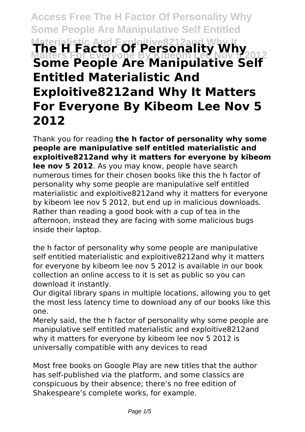# **Access Free The H Factor Of Personality Why Some People Are Manipulative Self Entitled** Materialistic And Exploitive8212and Why It<br>**The H Factor Of Personality Why**<br>Matters For Everyone By Kibeom Lee Nov 52012 **Some People Are Manipulative Self Entitled Materialistic And Exploitive8212and Why It Matters For Everyone By Kibeom Lee Nov 5 2012**

Thank you for reading **the h factor of personality why some people are manipulative self entitled materialistic and exploitive8212and why it matters for everyone by kibeom lee nov 5 2012**. As you may know, people have search numerous times for their chosen books like this the h factor of personality why some people are manipulative self entitled materialistic and exploitive8212and why it matters for everyone by kibeom lee nov 5 2012, but end up in malicious downloads. Rather than reading a good book with a cup of tea in the afternoon, instead they are facing with some malicious bugs inside their laptop.

the h factor of personality why some people are manipulative self entitled materialistic and exploitive8212and why it matters for everyone by kibeom lee nov 5 2012 is available in our book collection an online access to it is set as public so you can download it instantly.

Our digital library spans in multiple locations, allowing you to get the most less latency time to download any of our books like this one.

Merely said, the the h factor of personality why some people are manipulative self entitled materialistic and exploitive8212and why it matters for everyone by kibeom lee nov 5 2012 is universally compatible with any devices to read

Most free books on Google Play are new titles that the author has self-published via the platform, and some classics are conspicuous by their absence; there's no free edition of Shakespeare's complete works, for example.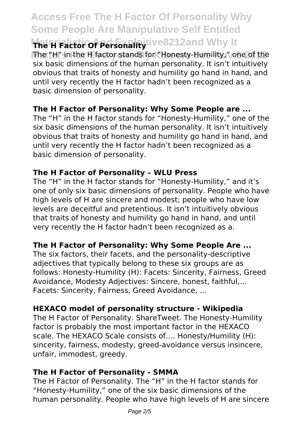## **Access Free The H Factor Of Personality Why Some People Are Manipulative Self Entitled MRE H Factor Of Personal Ry** tive 8212and Why It

The "H" in the H factor stands for "Honesty-Humility," one of the six basic dimensions of the human personality. It isn't intuitively obvious that traits of honesty and humility go hand in hand, and until very recently the H factor hadn't been recognized as a basic dimension of personality.

#### **The H Factor of Personality: Why Some People are ...**

The "H" in the H factor stands for "Honesty-Humility," one of the six basic dimensions of the human personality. It isn't intuitively obvious that traits of honesty and humility go hand in hand, and until very recently the H factor hadn't been recognized as a basic dimension of personality.

#### **The H Factor of Personality – WLU Press**

The "H" in the H factor stands for "Honesty-Humility," and it's one of only six basic dimensions of personality. People who have high levels of H are sincere and modest; people who have low levels are deceitful and pretentious. It isn't intuitively obvious that traits of honesty and humility go hand in hand, and until very recently the H factor hadn't been recognized as a.

#### **The H Factor of Personality: Why Some People Are ...**

The six factors, their facets, and the personality-descriptive adjectives that typically belong to these six groups are as follows: Honesty-Humility (H): Facets: Sincerity, Fairness, Greed Avoidance, Modesty Adjectives: Sincere, honest, faithful,... Facets: Sincerity, Fairness, Greed Avoidance, ...

#### **HEXACO model of personality structure - Wikipedia**

The H Factor of Personality. ShareTweet. The Honesty-Humility factor is probably the most important factor in the HEXACO scale. The HEXACO Scale consists of…. Honesty/Humility (H): sincerity, fairness, modesty, greed-avoidance versus insincere, unfair, immodest, greedy.

#### **The H Factor of Personality - SMMA**

The H Factor of Personality. The "H" in the H factor stands for "Honesty-Humility," one of the six basic dimensions of the human personality. People who have high levels of H are sincere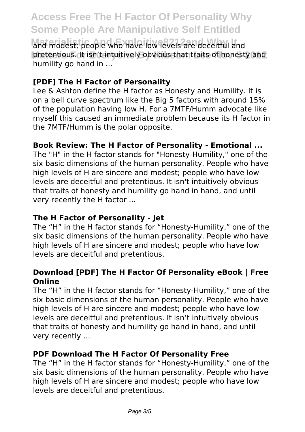### **Access Free The H Factor Of Personality Why Some People Are Manipulative Self Entitled**

and modest; people who have low levels are deceitful and pretentious. It isn't intuitively obvious that traits of honesty and humility go hand in ...

#### **[PDF] The H Factor of Personality**

Lee & Ashton define the H factor as Honesty and Humility. It is on a bell curve spectrum like the Big 5 factors with around 15% of the population having low H. For a 7MTF/Humm advocate like myself this caused an immediate problem because its H factor in the 7MTF/Humm is the polar opposite.

#### **Book Review: The H Factor of Personality - Emotional ...**

The "H" in the H factor stands for "Honesty-Humility," one of the six basic dimensions of the human personality. People who have high levels of H are sincere and modest; people who have low levels are deceitful and pretentious. It isn't intuitively obvious that traits of honesty and humility go hand in hand, and until very recently the H factor ...

#### **The H Factor of Personality - Jet**

The "H" in the H factor stands for "Honesty-Humility," one of the six basic dimensions of the human personality. People who have high levels of H are sincere and modest; people who have low levels are deceitful and pretentious.

#### **Download [PDF] The H Factor Of Personality eBook | Free Online**

The "H" in the H factor stands for "Honesty-Humility," one of the six basic dimensions of the human personality. People who have high levels of H are sincere and modest; people who have low levels are deceitful and pretentious. It isn't intuitively obvious that traits of honesty and humility go hand in hand, and until very recently ...

#### **PDF Download The H Factor Of Personality Free**

The "H" in the H factor stands for "Honesty-Humility," one of the six basic dimensions of the human personality. People who have high levels of H are sincere and modest; people who have low levels are deceitful and pretentious.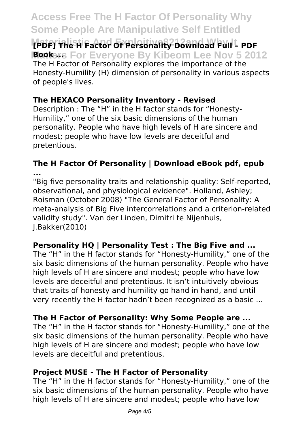### **Access Free The H Factor Of Personality Why Some People Are Manipulative Self Entitled**

**Materialistic And Exploitive8212and Why It [PDF] The H Factor Of Personality Download Full – PDF Bookers For Everyone By Kibeom Lee Nov 5 2012** The H Factor of Personality explores the importance of the Honesty-Humility (H) dimension of personality in various aspects of people's lives.

#### **The HEXACO Personality Inventory - Revised**

Description : The "H" in the H factor stands for "Honesty-Humility," one of the six basic dimensions of the human personality. People who have high levels of H are sincere and modest; people who have low levels are deceitful and pretentious.

#### **The H Factor Of Personality | Download eBook pdf, epub ...**

"Big five personality traits and relationship quality: Self-reported, observational, and physiological evidence". Holland, Ashley; Roisman (October 2008) "The General Factor of Personality: A meta-analysis of Big Five intercorrelations and a criterion-related validity study". Van der Linden, Dimitri te Nijenhuis, J.Bakker(2010)

#### **Personality HQ | Personality Test : The Big Five and ...**

The "H" in the H factor stands for "Honesty-Humility," one of the six basic dimensions of the human personality. People who have high levels of H are sincere and modest; people who have low levels are deceitful and pretentious. It isn't intuitively obvious that traits of honesty and humility go hand in hand, and until very recently the H factor hadn't been recognized as a basic ...

#### **The H Factor of Personality: Why Some People are ...**

The "H" in the H factor stands for "Honesty-Humility," one of the six basic dimensions of the human personality. People who have high levels of H are sincere and modest; people who have low levels are deceitful and pretentious.

#### **Project MUSE - The H Factor of Personality**

The "H" in the H factor stands for "Honesty-Humility," one of the six basic dimensions of the human personality. People who have high levels of H are sincere and modest; people who have low